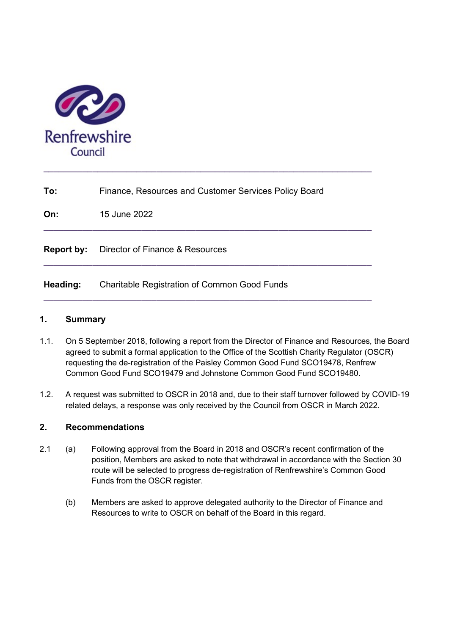

| To:               | Finance, Resources and Customer Services Policy Board |
|-------------------|-------------------------------------------------------|
| On:               | 15 June 2022                                          |
| <b>Report by:</b> | Director of Finance & Resources                       |
| Heading:          | <b>Charitable Registration of Common Good Funds</b>   |

 $\_$  ,  $\_$  ,  $\_$  ,  $\_$  ,  $\_$  ,  $\_$  ,  $\_$  ,  $\_$  ,  $\_$  ,  $\_$  ,  $\_$  ,  $\_$  ,  $\_$  ,  $\_$  ,  $\_$  ,  $\_$  ,  $\_$  ,  $\_$  ,  $\_$ 

### 1. Summary

- 1.1. On 5 September 2018, following a report from the Director of Finance and Resources, the Board agreed to submit a formal application to the Office of the Scottish Charity Regulator (OSCR) requesting the de-registration of the Paisley Common Good Fund SCO19478, Renfrew Common Good Fund SCO19479 and Johnstone Common Good Fund SCO19480.
- 1.2. A request was submitted to OSCR in 2018 and, due to their staff turnover followed by COVID-19 related delays, a response was only received by the Council from OSCR in March 2022.

## 2. Recommendations

- 2.1 (a) Following approval from the Board in 2018 and OSCR's recent confirmation of the position, Members are asked to note that withdrawal in accordance with the Section 30 route will be selected to progress de-registration of Renfrewshire's Common Good Funds from the OSCR register.
	- (b) Members are asked to approve delegated authority to the Director of Finance and Resources to write to OSCR on behalf of the Board in this regard.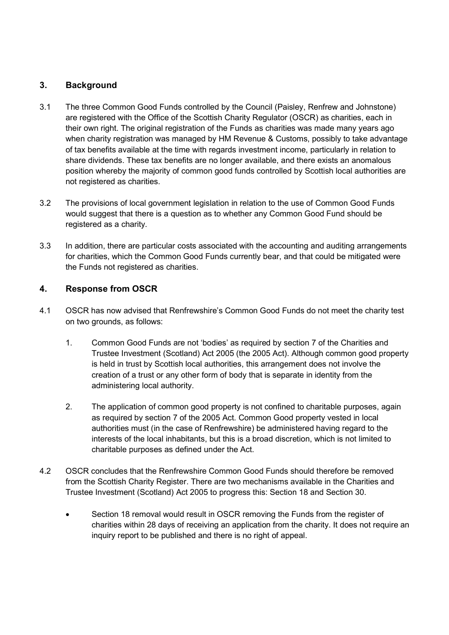# 3. Background

- 3.1 The three Common Good Funds controlled by the Council (Paisley, Renfrew and Johnstone) are registered with the Office of the Scottish Charity Regulator (OSCR) as charities, each in their own right. The original registration of the Funds as charities was made many years ago when charity registration was managed by HM Revenue & Customs, possibly to take advantage of tax benefits available at the time with regards investment income, particularly in relation to share dividends. These tax benefits are no longer available, and there exists an anomalous position whereby the majority of common good funds controlled by Scottish local authorities are not registered as charities.
- 3.2 The provisions of local government legislation in relation to the use of Common Good Funds would suggest that there is a question as to whether any Common Good Fund should be registered as a charity.
- 3.3 In addition, there are particular costs associated with the accounting and auditing arrangements for charities, which the Common Good Funds currently bear, and that could be mitigated were the Funds not registered as charities.

### 4. Response from OSCR

- 4.1 OSCR has now advised that Renfrewshire's Common Good Funds do not meet the charity test on two grounds, as follows:
	- 1. Common Good Funds are not 'bodies' as required by section 7 of the Charities and Trustee Investment (Scotland) Act 2005 (the 2005 Act). Although common good property is held in trust by Scottish local authorities, this arrangement does not involve the creation of a trust or any other form of body that is separate in identity from the administering local authority.
	- 2. The application of common good property is not confined to charitable purposes, again as required by section 7 of the 2005 Act. Common Good property vested in local authorities must (in the case of Renfrewshire) be administered having regard to the interests of the local inhabitants, but this is a broad discretion, which is not limited to charitable purposes as defined under the Act.
- 4.2 OSCR concludes that the Renfrewshire Common Good Funds should therefore be removed from the Scottish Charity Register. There are two mechanisms available in the Charities and Trustee Investment (Scotland) Act 2005 to progress this: Section 18 and Section 30.
	- Section 18 removal would result in OSCR removing the Funds from the register of charities within 28 days of receiving an application from the charity. It does not require an inquiry report to be published and there is no right of appeal.